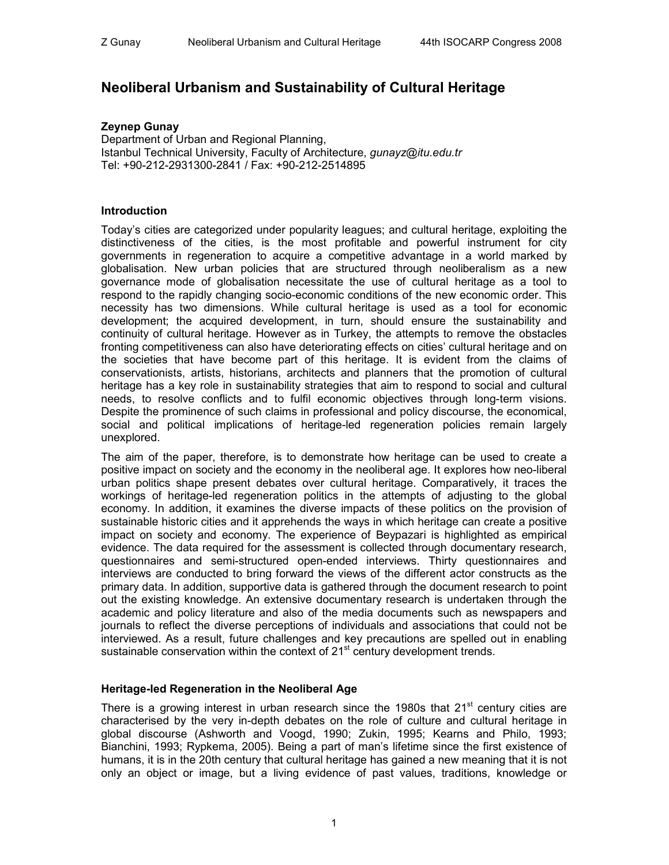# **Neoliberal Urbanism and Sustainability of Cultural Heritage**

## **Zeynep Gunay**

Department of Urban and Regional Planning, Istanbul Technical University, Faculty of Architecture, *gunayz@itu.edu.tr*  Tel: +90-212-2931300-2841 / Fax: +90-212-2514895

## **Introduction**

Today's cities are categorized under popularity leagues; and cultural heritage, exploiting the distinctiveness of the cities, is the most profitable and powerful instrument for city governments in regeneration to acquire a competitive advantage in a world marked by globalisation. New urban policies that are structured through neoliberalism as a new governance mode of globalisation necessitate the use of cultural heritage as a tool to respond to the rapidly changing socio-economic conditions of the new economic order. This necessity has two dimensions. While cultural heritage is used as a tool for economic development; the acquired development, in turn, should ensure the sustainability and continuity of cultural heritage. However as in Turkey, the attempts to remove the obstacles fronting competitiveness can also have deteriorating effects on cities' cultural heritage and on the societies that have become part of this heritage. It is evident from the claims of conservationists, artists, historians, architects and planners that the promotion of cultural heritage has a key role in sustainability strategies that aim to respond to social and cultural needs, to resolve conflicts and to fulfil economic objectives through long-term visions. Despite the prominence of such claims in professional and policy discourse, the economical, social and political implications of heritage-led regeneration policies remain largely unexplored.

The aim of the paper, therefore, is to demonstrate how heritage can be used to create a positive impact on society and the economy in the neoliberal age. It explores how neo-liberal urban politics shape present debates over cultural heritage. Comparatively, it traces the workings of heritage-led regeneration politics in the attempts of adjusting to the global economy. In addition, it examines the diverse impacts of these politics on the provision of sustainable historic cities and it apprehends the ways in which heritage can create a positive impact on society and economy. The experience of Beypazari is highlighted as empirical evidence. The data required for the assessment is collected through documentary research, questionnaires and semi-structured open-ended interviews. Thirty questionnaires and interviews are conducted to bring forward the views of the different actor constructs as the primary data. In addition, supportive data is gathered through the document research to point out the existing knowledge. An extensive documentary research is undertaken through the academic and policy literature and also of the media documents such as newspapers and journals to reflect the diverse perceptions of individuals and associations that could not be interviewed. As a result, future challenges and key precautions are spelled out in enabling sustainable conservation within the context of 21<sup>st</sup> century development trends.

## **Heritage-led Regeneration in the Neoliberal Age**

There is a growing interest in urban research since the 1980s that  $21<sup>st</sup>$  century cities are characterised by the very in-depth debates on the role of culture and cultural heritage in global discourse (Ashworth and Voogd, 1990; Zukin, 1995; Kearns and Philo, 1993; Bianchini, 1993; Rypkema, 2005). Being a part of man's lifetime since the first existence of humans, it is in the 20th century that cultural heritage has gained a new meaning that it is not only an object or image, but a living evidence of past values, traditions, knowledge or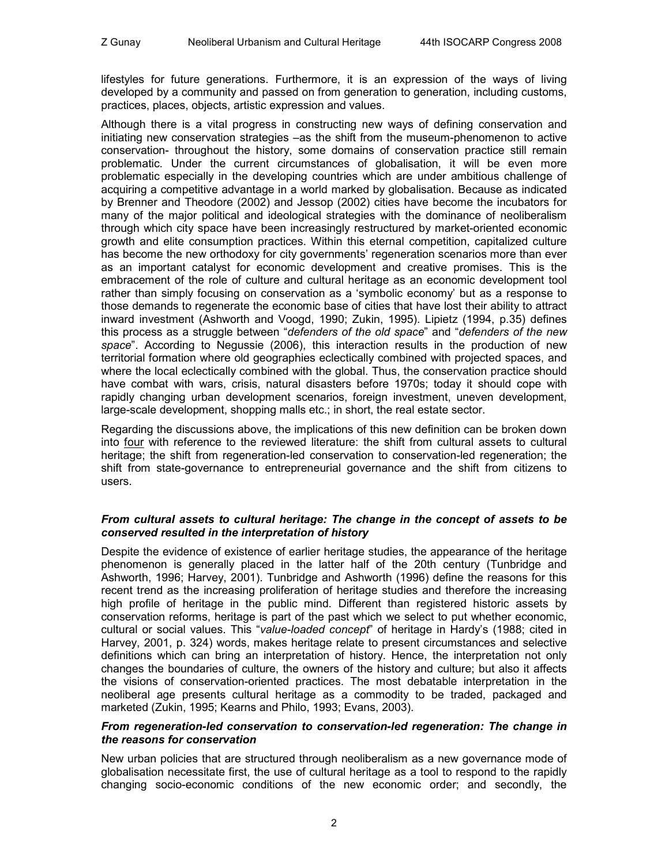lifestyles for future generations. Furthermore, it is an expression of the ways of living developed by a community and passed on from generation to generation, including customs, practices, places, objects, artistic expression and values.

Although there is a vital progress in constructing new ways of defining conservation and initiating new conservation strategies –as the shift from the museum-phenomenon to active conservation- throughout the history, some domains of conservation practice still remain problematic. Under the current circumstances of globalisation, it will be even more problematic especially in the developing countries which are under ambitious challenge of acquiring a competitive advantage in a world marked by globalisation. Because as indicated by Brenner and Theodore (2002) and Jessop (2002) cities have become the incubators for many of the major political and ideological strategies with the dominance of neoliberalism through which city space have been increasingly restructured by market-oriented economic growth and elite consumption practices. Within this eternal competition, capitalized culture has become the new orthodoxy for city governments' regeneration scenarios more than ever as an important catalyst for economic development and creative promises. This is the embracement of the role of culture and cultural heritage as an economic development tool rather than simply focusing on conservation as a 'symbolic economy' but as a response to those demands to regenerate the economic base of cities that have lost their ability to attract inward investment (Ashworth and Voogd, 1990; Zukin, 1995). Lipietz (1994, p.35) defines this process as a struggle between "*defenders of the old space*" and "*defenders of the new space*". According to Negussie (2006), this interaction results in the production of new territorial formation where old geographies eclectically combined with projected spaces, and where the local eclectically combined with the global. Thus, the conservation practice should have combat with wars, crisis, natural disasters before 1970s; today it should cope with rapidly changing urban development scenarios, foreign investment, uneven development, large-scale development, shopping malls etc.; in short, the real estate sector.

Regarding the discussions above, the implications of this new definition can be broken down into four with reference to the reviewed literature: the shift from cultural assets to cultural heritage; the shift from regeneration-led conservation to conservation-led regeneration; the shift from state-governance to entrepreneurial governance and the shift from citizens to users.

#### *From cultural assets to cultural heritage: The change in the concept of assets to be conserved resulted in the interpretation of history*

Despite the evidence of existence of earlier heritage studies, the appearance of the heritage phenomenon is generally placed in the latter half of the 20th century (Tunbridge and Ashworth, 1996; Harvey, 2001). Tunbridge and Ashworth (1996) define the reasons for this recent trend as the increasing proliferation of heritage studies and therefore the increasing high profile of heritage in the public mind. Different than registered historic assets by conservation reforms, heritage is part of the past which we select to put whether economic, cultural or social values. This "*value-loaded concept*" of heritage in Hardy's (1988; cited in Harvey, 2001, p. 324) words, makes heritage relate to present circumstances and selective definitions which can bring an interpretation of history. Hence, the interpretation not only changes the boundaries of culture, the owners of the history and culture; but also it affects the visions of conservation-oriented practices. The most debatable interpretation in the neoliberal age presents cultural heritage as a commodity to be traded, packaged and marketed (Zukin, 1995; Kearns and Philo, 1993; Evans, 2003).

#### *From regeneration-led conservation to conservation-led regeneration: The change in the reasons for conservation*

New urban policies that are structured through neoliberalism as a new governance mode of globalisation necessitate first, the use of cultural heritage as a tool to respond to the rapidly changing socio-economic conditions of the new economic order; and secondly, the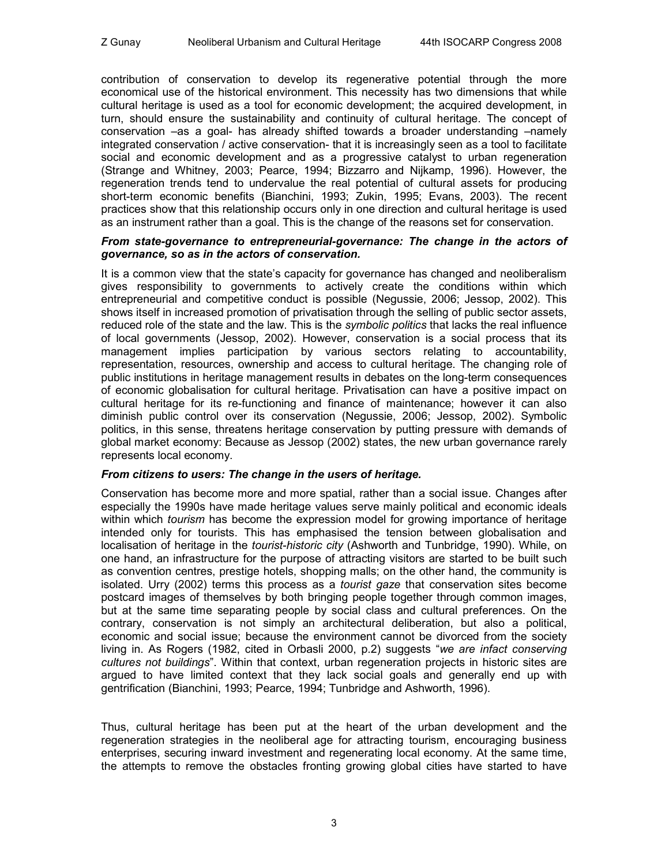contribution of conservation to develop its regenerative potential through the more economical use of the historical environment. This necessity has two dimensions that while cultural heritage is used as a tool for economic development; the acquired development, in turn, should ensure the sustainability and continuity of cultural heritage. The concept of conservation –as a goal- has already shifted towards a broader understanding –namely integrated conservation / active conservation- that it is increasingly seen as a tool to facilitate social and economic development and as a progressive catalyst to urban regeneration (Strange and Whitney, 2003; Pearce, 1994; Bizzarro and Nijkamp, 1996). However, the regeneration trends tend to undervalue the real potential of cultural assets for producing short-term economic benefits (Bianchini, 1993; Zukin, 1995; Evans, 2003). The recent practices show that this relationship occurs only in one direction and cultural heritage is used as an instrument rather than a goal. This is the change of the reasons set for conservation.

#### *From state-governance to entrepreneurial-governance: The change in the actors of governance, so as in the actors of conservation.*

It is a common view that the state's capacity for governance has changed and neoliberalism gives responsibility to governments to actively create the conditions within which entrepreneurial and competitive conduct is possible (Negussie, 2006; Jessop, 2002). This shows itself in increased promotion of privatisation through the selling of public sector assets, reduced role of the state and the law. This is the *symbolic politics* that lacks the real influence of local governments (Jessop, 2002). However, conservation is a social process that its management implies participation by various sectors relating to accountability, representation, resources, ownership and access to cultural heritage. The changing role of public institutions in heritage management results in debates on the long-term consequences of economic globalisation for cultural heritage. Privatisation can have a positive impact on cultural heritage for its re-functioning and finance of maintenance; however it can also diminish public control over its conservation (Negussie, 2006; Jessop, 2002). Symbolic politics, in this sense, threatens heritage conservation by putting pressure with demands of global market economy: Because as Jessop (2002) states, the new urban governance rarely represents local economy.

## *From citizens to users: The change in the users of heritage.*

Conservation has become more and more spatial, rather than a social issue. Changes after especially the 1990s have made heritage values serve mainly political and economic ideals within which *tourism* has become the expression model for growing importance of heritage intended only for tourists. This has emphasised the tension between globalisation and localisation of heritage in the *tourist-historic city* (Ashworth and Tunbridge, 1990). While, on one hand, an infrastructure for the purpose of attracting visitors are started to be built such as convention centres, prestige hotels, shopping malls; on the other hand, the community is isolated. Urry (2002) terms this process as a *tourist gaze* that conservation sites become postcard images of themselves by both bringing people together through common images, but at the same time separating people by social class and cultural preferences. On the contrary, conservation is not simply an architectural deliberation, but also a political, economic and social issue; because the environment cannot be divorced from the society living in. As Rogers (1982, cited in Orbasli 2000, p.2) suggests "*we are infact conserving cultures not buildings*". Within that context, urban regeneration projects in historic sites are argued to have limited context that they lack social goals and generally end up with gentrification (Bianchini, 1993; Pearce, 1994; Tunbridge and Ashworth, 1996).

Thus, cultural heritage has been put at the heart of the urban development and the regeneration strategies in the neoliberal age for attracting tourism, encouraging business enterprises, securing inward investment and regenerating local economy. At the same time, the attempts to remove the obstacles fronting growing global cities have started to have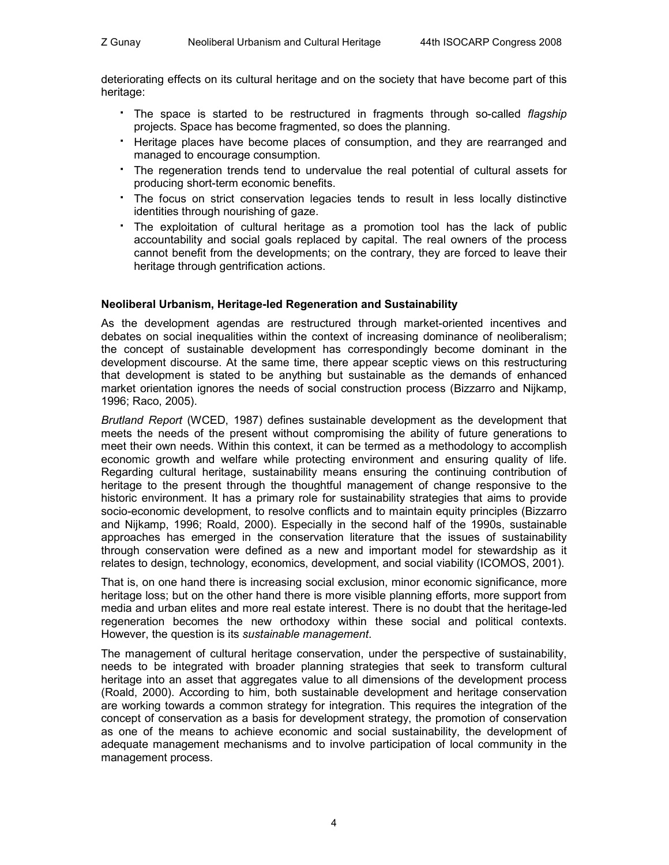deteriorating effects on its cultural heritage and on the society that have become part of this heritage:

- The space is started to be restructured in fragments through so-called *flagship* projects. Space has become fragmented, so does the planning.
- Heritage places have become places of consumption, and they are rearranged and managed to encourage consumption.
- The regeneration trends tend to undervalue the real potential of cultural assets for producing short-term economic benefits.
- The focus on strict conservation legacies tends to result in less locally distinctive identities through nourishing of gaze.
- The exploitation of cultural heritage as a promotion tool has the lack of public accountability and social goals replaced by capital. The real owners of the process cannot benefit from the developments; on the contrary, they are forced to leave their heritage through gentrification actions.

## **Neoliberal Urbanism, Heritage-led Regeneration and Sustainability**

As the development agendas are restructured through market-oriented incentives and debates on social inequalities within the context of increasing dominance of neoliberalism; the concept of sustainable development has correspondingly become dominant in the development discourse. At the same time, there appear sceptic views on this restructuring that development is stated to be anything but sustainable as the demands of enhanced market orientation ignores the needs of social construction process (Bizzarro and Nijkamp, 1996; Raco, 2005).

*Brutland Report* (WCED, 1987) defines sustainable development as the development that meets the needs of the present without compromising the ability of future generations to meet their own needs. Within this context, it can be termed as a methodology to accomplish economic growth and welfare while protecting environment and ensuring quality of life. Regarding cultural heritage, sustainability means ensuring the continuing contribution of heritage to the present through the thoughtful management of change responsive to the historic environment. It has a primary role for sustainability strategies that aims to provide socio-economic development, to resolve conflicts and to maintain equity principles (Bizzarro and Nijkamp, 1996; Roald, 2000). Especially in the second half of the 1990s, sustainable approaches has emerged in the conservation literature that the issues of sustainability through conservation were defined as a new and important model for stewardship as it relates to design, technology, economics, development, and social viability (ICOMOS, 2001).

That is, on one hand there is increasing social exclusion, minor economic significance, more heritage loss; but on the other hand there is more visible planning efforts, more support from media and urban elites and more real estate interest. There is no doubt that the heritage-led regeneration becomes the new orthodoxy within these social and political contexts. However, the question is its *sustainable management*.

The management of cultural heritage conservation, under the perspective of sustainability, needs to be integrated with broader planning strategies that seek to transform cultural heritage into an asset that aggregates value to all dimensions of the development process (Roald, 2000). According to him, both sustainable development and heritage conservation are working towards a common strategy for integration. This requires the integration of the concept of conservation as a basis for development strategy, the promotion of conservation as one of the means to achieve economic and social sustainability, the development of adequate management mechanisms and to involve participation of local community in the management process.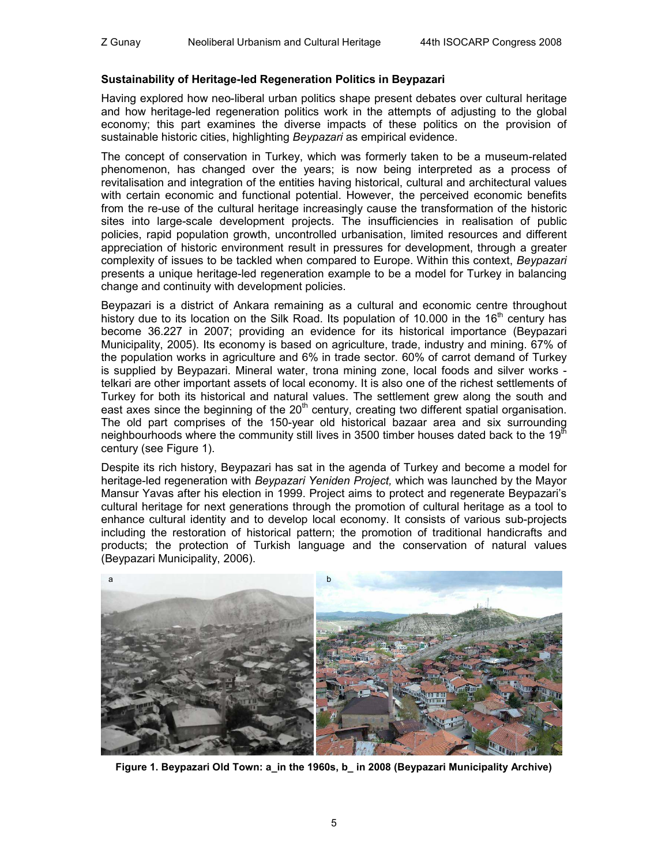#### **Sustainability of Heritage-led Regeneration Politics in Beypazari**

Having explored how neo-liberal urban politics shape present debates over cultural heritage and how heritage-led regeneration politics work in the attempts of adjusting to the global economy; this part examines the diverse impacts of these politics on the provision of sustainable historic cities, highlighting *Beypazari* as empirical evidence.

The concept of conservation in Turkey, which was formerly taken to be a museum-related phenomenon, has changed over the years; is now being interpreted as a process of revitalisation and integration of the entities having historical, cultural and architectural values with certain economic and functional potential. However, the perceived economic benefits from the re-use of the cultural heritage increasingly cause the transformation of the historic sites into large-scale development projects. The insufficiencies in realisation of public policies, rapid population growth, uncontrolled urbanisation, limited resources and different appreciation of historic environment result in pressures for development, through a greater complexity of issues to be tackled when compared to Europe. Within this context, *Beypazari* presents a unique heritage-led regeneration example to be a model for Turkey in balancing change and continuity with development policies.

Beypazari is a district of Ankara remaining as a cultural and economic centre throughout history due to its location on the Silk Road. Its population of 10.000 in the 16<sup>th</sup> century has become 36.227 in 2007; providing an evidence for its historical importance (Beypazari Municipality, 2005). Its economy is based on agriculture, trade, industry and mining. 67% of the population works in agriculture and 6% in trade sector. 60% of carrot demand of Turkey is supplied by Beypazari. Mineral water, trona mining zone, local foods and silver works telkari are other important assets of local economy. It is also one of the richest settlements of Turkey for both its historical and natural values. The settlement grew along the south and east axes since the beginning of the  $20<sup>th</sup>$  century, creating two different spatial organisation. The old part comprises of the 150-year old historical bazaar area and six surrounding neighbourhoods where the community still lives in 3500 timber houses dated back to the 19 $^{\text{th}}$ century (see Figure 1).

Despite its rich history, Beypazari has sat in the agenda of Turkey and become a model for heritage-led regeneration with *Beypazari Yeniden Project,* which was launched by the Mayor Mansur Yavas after his election in 1999. Project aims to protect and regenerate Beypazari's cultural heritage for next generations through the promotion of cultural heritage as a tool to enhance cultural identity and to develop local economy. It consists of various sub-projects including the restoration of historical pattern; the promotion of traditional handicrafts and products; the protection of Turkish language and the conservation of natural values (Beypazari Municipality, 2006).



**Figure 1. Beypazari Old Town: a\_in the 1960s, b\_ in 2008 (Beypazari Municipality Archive)**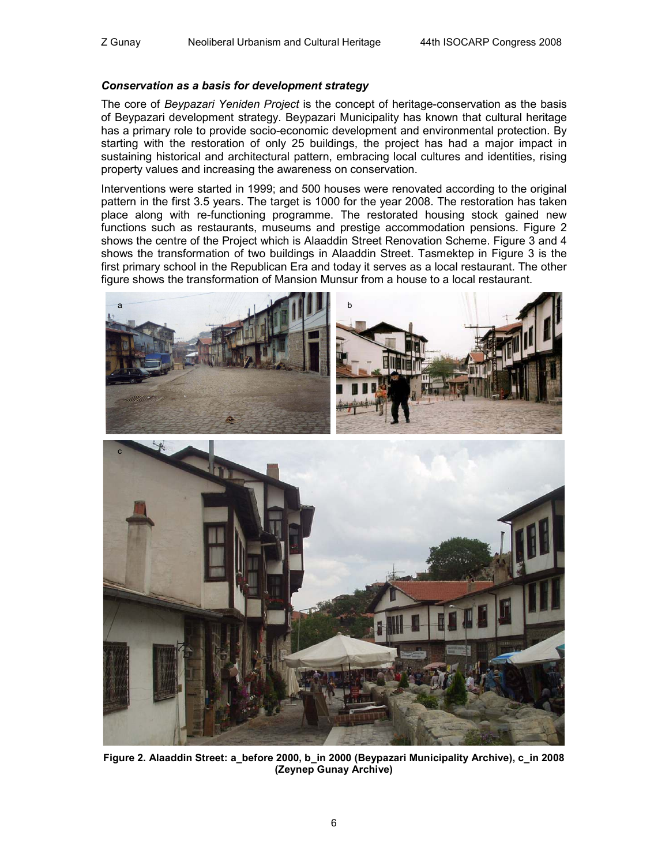#### *Conservation as a basis for development strategy*

The core of *Beypazari Yeniden Project* is the concept of heritage-conservation as the basis of Beypazari development strategy. Beypazari Municipality has known that cultural heritage has a primary role to provide socio-economic development and environmental protection. By starting with the restoration of only 25 buildings, the project has had a major impact in sustaining historical and architectural pattern, embracing local cultures and identities, rising property values and increasing the awareness on conservation.

Interventions were started in 1999; and 500 houses were renovated according to the original pattern in the first 3.5 years. The target is 1000 for the year 2008. The restoration has taken place along with re-functioning programme. The restorated housing stock gained new functions such as restaurants, museums and prestige accommodation pensions. Figure 2 shows the centre of the Project which is Alaaddin Street Renovation Scheme. Figure 3 and 4 shows the transformation of two buildings in Alaaddin Street. Tasmektep in Figure 3 is the first primary school in the Republican Era and today it serves as a local restaurant. The other figure shows the transformation of Mansion Munsur from a house to a local restaurant.



**Figure 2. Alaaddin Street: a\_before 2000, b\_in 2000 (Beypazari Municipality Archive), c\_in 2008 (Zeynep Gunay Archive)**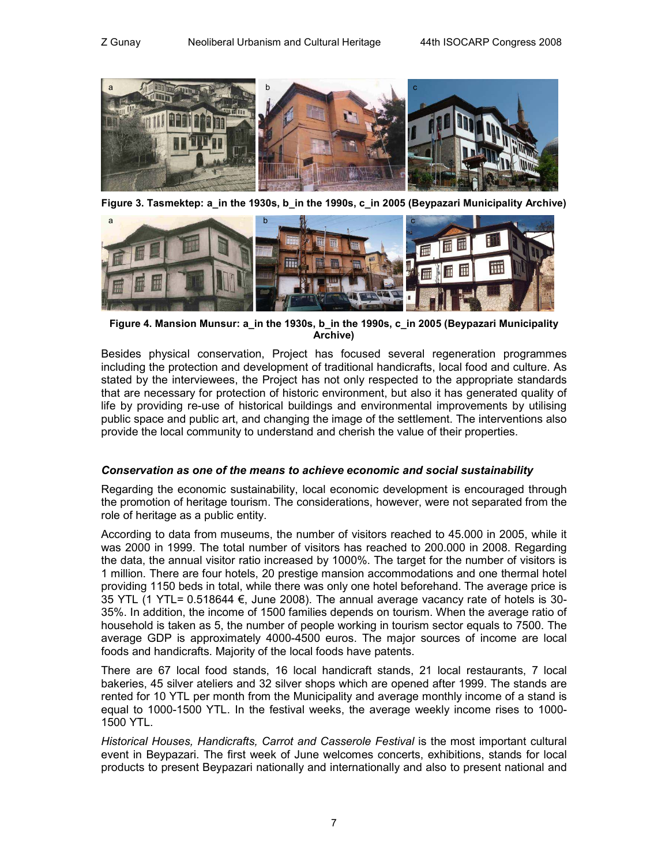

**Figure 3. Tasmektep: a\_in the 1930s, b\_in the 1990s, c\_in 2005 (Beypazari Municipality Archive)** 



**Figure 4. Mansion Munsur: a\_in the 1930s, b\_in the 1990s, c\_in 2005 (Beypazari Municipality Archive)** 

Besides physical conservation, Project has focused several regeneration programmes including the protection and development of traditional handicrafts, local food and culture. As stated by the interviewees, the Project has not only respected to the appropriate standards that are necessary for protection of historic environment, but also it has generated quality of life by providing re-use of historical buildings and environmental improvements by utilising public space and public art, and changing the image of the settlement. The interventions also provide the local community to understand and cherish the value of their properties.

#### *Conservation as one of the means to achieve economic and social sustainability*

Regarding the economic sustainability, local economic development is encouraged through the promotion of heritage tourism. The considerations, however, were not separated from the role of heritage as a public entity.

According to data from museums, the number of visitors reached to 45.000 in 2005, while it was 2000 in 1999. The total number of visitors has reached to 200.000 in 2008. Regarding the data, the annual visitor ratio increased by 1000%. The target for the number of visitors is 1 million. There are four hotels, 20 prestige mansion accommodations and one thermal hotel providing 1150 beds in total, while there was only one hotel beforehand. The average price is 35 YTL (1 YTL=  $0.518644 \in$ , June 2008). The annual average vacancy rate of hotels is 30-35%. In addition, the income of 1500 families depends on tourism. When the average ratio of household is taken as 5, the number of people working in tourism sector equals to 7500. The average GDP is approximately 4000-4500 euros. The major sources of income are local foods and handicrafts. Majority of the local foods have patents.

There are 67 local food stands, 16 local handicraft stands, 21 local restaurants, 7 local bakeries, 45 silver ateliers and 32 silver shops which are opened after 1999. The stands are rented for 10 YTL per month from the Municipality and average monthly income of a stand is equal to 1000-1500 YTL. In the festival weeks, the average weekly income rises to 1000- 1500 YTL.

*Historical Houses, Handicrafts, Carrot and Casserole Festival* is the most important cultural event in Beypazari. The first week of June welcomes concerts, exhibitions, stands for local products to present Beypazari nationally and internationally and also to present national and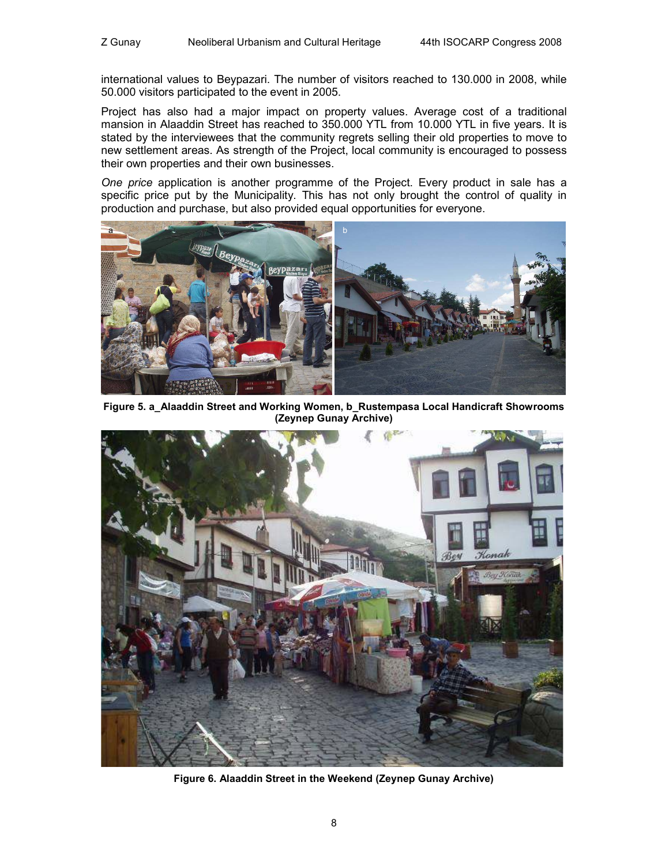international values to Beypazari. The number of visitors reached to 130.000 in 2008, while 50.000 visitors participated to the event in 2005.

Project has also had a major impact on property values. Average cost of a traditional mansion in Alaaddin Street has reached to 350.000 YTL from 10.000 YTL in five years. It is stated by the interviewees that the community regrets selling their old properties to move to new settlement areas. As strength of the Project, local community is encouraged to possess their own properties and their own businesses.

*One price* application is another programme of the Project. Every product in sale has a specific price put by the Municipality. This has not only brought the control of quality in production and purchase, but also provided equal opportunities for everyone.



**Figure 5. a\_Alaaddin Street and Working Women, b\_Rustempasa Local Handicraft Showrooms (Zeynep Gunay Archive)** 



**Figure 6. Alaaddin Street in the Weekend (Zeynep Gunay Archive)**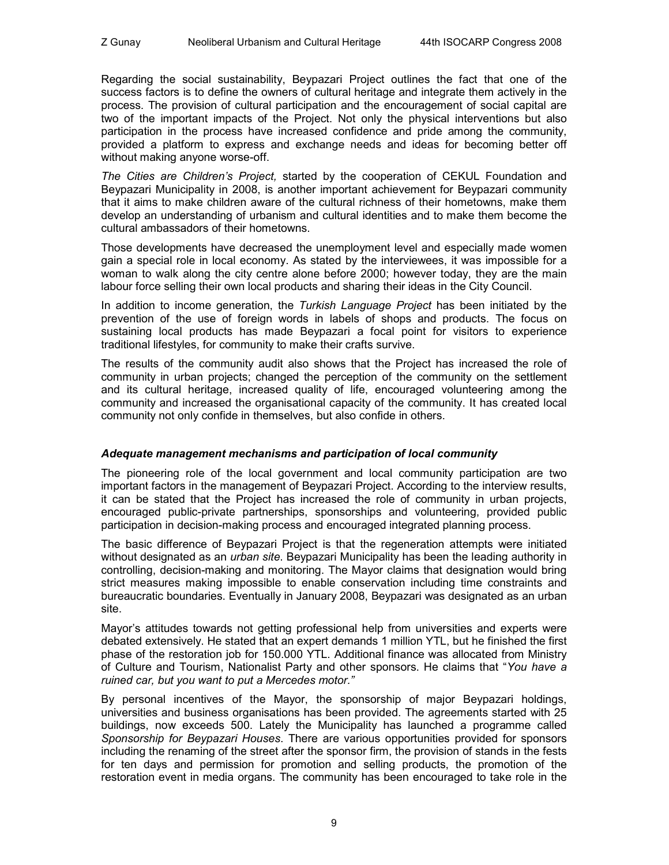Regarding the social sustainability, Beypazari Project outlines the fact that one of the success factors is to define the owners of cultural heritage and integrate them actively in the process. The provision of cultural participation and the encouragement of social capital are two of the important impacts of the Project. Not only the physical interventions but also participation in the process have increased confidence and pride among the community, provided a platform to express and exchange needs and ideas for becoming better off without making anyone worse-off.

*The Cities are Children's Project,* started by the cooperation of CEKUL Foundation and Beypazari Municipality in 2008, is another important achievement for Beypazari community that it aims to make children aware of the cultural richness of their hometowns, make them develop an understanding of urbanism and cultural identities and to make them become the cultural ambassadors of their hometowns.

Those developments have decreased the unemployment level and especially made women gain a special role in local economy. As stated by the interviewees, it was impossible for a woman to walk along the city centre alone before 2000; however today, they are the main labour force selling their own local products and sharing their ideas in the City Council.

In addition to income generation, the *Turkish Language Project* has been initiated by the prevention of the use of foreign words in labels of shops and products. The focus on sustaining local products has made Beypazari a focal point for visitors to experience traditional lifestyles, for community to make their crafts survive.

The results of the community audit also shows that the Project has increased the role of community in urban projects; changed the perception of the community on the settlement and its cultural heritage, increased quality of life, encouraged volunteering among the community and increased the organisational capacity of the community. It has created local community not only confide in themselves, but also confide in others.

## *Adequate management mechanisms and participation of local community*

The pioneering role of the local government and local community participation are two important factors in the management of Beypazari Project. According to the interview results, it can be stated that the Project has increased the role of community in urban projects, encouraged public-private partnerships, sponsorships and volunteering, provided public participation in decision-making process and encouraged integrated planning process.

The basic difference of Beypazari Project is that the regeneration attempts were initiated without designated as an *urban site*. Beypazari Municipality has been the leading authority in controlling, decision-making and monitoring. The Mayor claims that designation would bring strict measures making impossible to enable conservation including time constraints and bureaucratic boundaries. Eventually in January 2008, Beypazari was designated as an urban site.

Mayor's attitudes towards not getting professional help from universities and experts were debated extensively. He stated that an expert demands 1 million YTL, but he finished the first phase of the restoration job for 150.000 YTL. Additional finance was allocated from Ministry of Culture and Tourism, Nationalist Party and other sponsors. He claims that "*You have a ruined car, but you want to put a Mercedes motor."*

By personal incentives of the Mayor, the sponsorship of major Beypazari holdings, universities and business organisations has been provided. The agreements started with 25 buildings, now exceeds 500. Lately the Municipality has launched a programme called *Sponsorship for Beypazari Houses*. There are various opportunities provided for sponsors including the renaming of the street after the sponsor firm, the provision of stands in the fests for ten days and permission for promotion and selling products, the promotion of the restoration event in media organs. The community has been encouraged to take role in the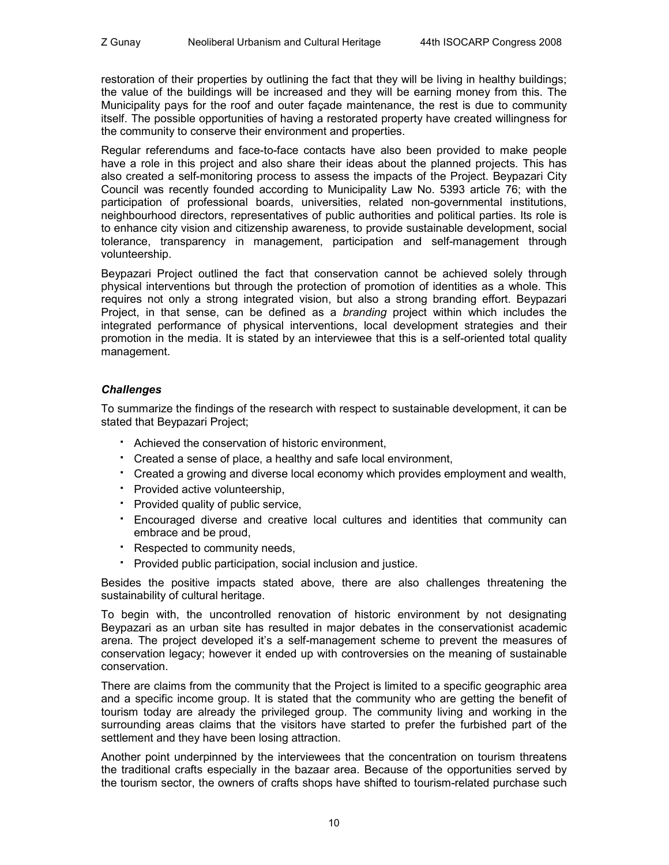restoration of their properties by outlining the fact that they will be living in healthy buildings; the value of the buildings will be increased and they will be earning money from this. The Municipality pays for the roof and outer façade maintenance, the rest is due to community itself. The possible opportunities of having a restorated property have created willingness for the community to conserve their environment and properties.

Regular referendums and face-to-face contacts have also been provided to make people have a role in this project and also share their ideas about the planned projects. This has also created a self-monitoring process to assess the impacts of the Project. Beypazari City Council was recently founded according to Municipality Law No. 5393 article 76; with the participation of professional boards, universities, related non-governmental institutions, neighbourhood directors, representatives of public authorities and political parties. Its role is to enhance city vision and citizenship awareness, to provide sustainable development, social tolerance, transparency in management, participation and self-management through volunteership.

Beypazari Project outlined the fact that conservation cannot be achieved solely through physical interventions but through the protection of promotion of identities as a whole. This requires not only a strong integrated vision, but also a strong branding effort. Beypazari Project, in that sense, can be defined as a *branding* project within which includes the integrated performance of physical interventions, local development strategies and their promotion in the media. It is stated by an interviewee that this is a self-oriented total quality management.

## *Challenges*

To summarize the findings of the research with respect to sustainable development, it can be stated that Beypazari Project;

- Achieved the conservation of historic environment,
- Created a sense of place, a healthy and safe local environment,
- Created a growing and diverse local economy which provides employment and wealth,
- Provided active volunteership,
- Provided quality of public service,
- Encouraged diverse and creative local cultures and identities that community can embrace and be proud,
- Respected to community needs,
- Provided public participation, social inclusion and justice.

Besides the positive impacts stated above, there are also challenges threatening the sustainability of cultural heritage.

To begin with, the uncontrolled renovation of historic environment by not designating Beypazari as an urban site has resulted in major debates in the conservationist academic arena. The project developed it's a self-management scheme to prevent the measures of conservation legacy; however it ended up with controversies on the meaning of sustainable conservation.

There are claims from the community that the Project is limited to a specific geographic area and a specific income group. It is stated that the community who are getting the benefit of tourism today are already the privileged group. The community living and working in the surrounding areas claims that the visitors have started to prefer the furbished part of the settlement and they have been losing attraction.

Another point underpinned by the interviewees that the concentration on tourism threatens the traditional crafts especially in the bazaar area. Because of the opportunities served by the tourism sector, the owners of crafts shops have shifted to tourism-related purchase such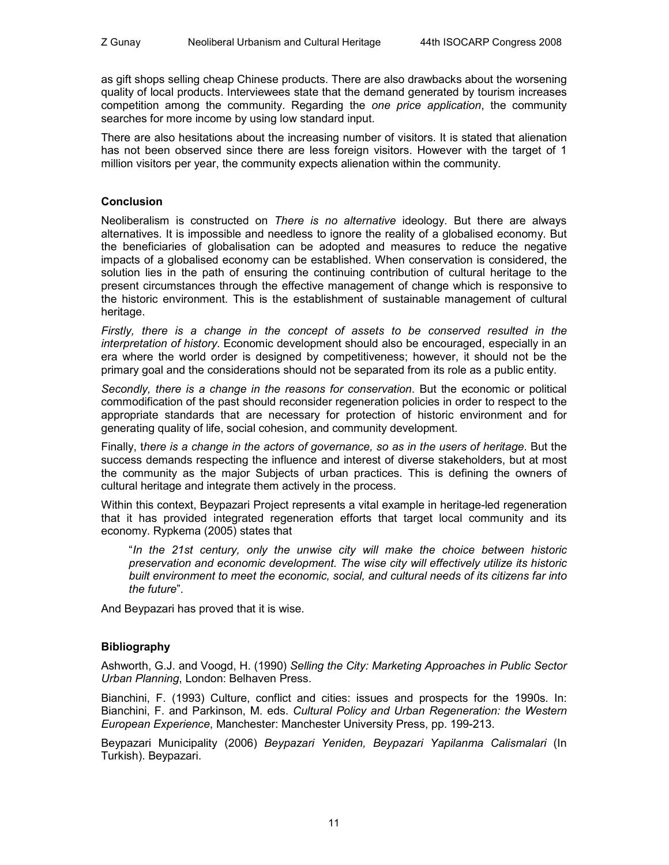as gift shops selling cheap Chinese products. There are also drawbacks about the worsening quality of local products. Interviewees state that the demand generated by tourism increases competition among the community. Regarding the *one price application*, the community searches for more income by using low standard input.

There are also hesitations about the increasing number of visitors. It is stated that alienation has not been observed since there are less foreign visitors. However with the target of 1 million visitors per year, the community expects alienation within the community.

#### **Conclusion**

Neoliberalism is constructed on *There is no alternative* ideology. But there are always alternatives. It is impossible and needless to ignore the reality of a globalised economy. But the beneficiaries of globalisation can be adopted and measures to reduce the negative impacts of a globalised economy can be established. When conservation is considered, the solution lies in the path of ensuring the continuing contribution of cultural heritage to the present circumstances through the effective management of change which is responsive to the historic environment. This is the establishment of sustainable management of cultural heritage.

*Firstly, there is a change in the concept of assets to be conserved resulted in the interpretation of history*. Economic development should also be encouraged, especially in an era where the world order is designed by competitiveness; however, it should not be the primary goal and the considerations should not be separated from its role as a public entity.

*Secondly, there is a change in the reasons for conservation*. But the economic or political commodification of the past should reconsider regeneration policies in order to respect to the appropriate standards that are necessary for protection of historic environment and for generating quality of life, social cohesion, and community development.

Finally, t*here is a change in the actors of governance, so as in the users of heritage*. But the success demands respecting the influence and interest of diverse stakeholders, but at most the community as the major Subjects of urban practices. This is defining the owners of cultural heritage and integrate them actively in the process.

Within this context, Beypazari Project represents a vital example in heritage-led regeneration that it has provided integrated regeneration efforts that target local community and its economy. Rypkema (2005) states that

"*In the 21st century, only the unwise city will make the choice between historic preservation and economic development. The wise city will effectively utilize its historic built environment to meet the economic, social, and cultural needs of its citizens far into the future*".

And Beypazari has proved that it is wise.

## **Bibliography**

Ashworth, G.J. and Voogd, H. (1990) *Selling the City: Marketing Approaches in Public Sector Urban Planning*, London: Belhaven Press.

Bianchini, F. (1993) Culture, conflict and cities: issues and prospects for the 1990s. In: Bianchini, F. and Parkinson, M. eds. *Cultural Policy and Urban Regeneration: the Western European Experience*, Manchester: Manchester University Press, pp. 199-213.

Beypazari Municipality (2006) *Beypazari Yeniden, Beypazari Yapilanma Calismalari* (In Turkish). Beypazari.